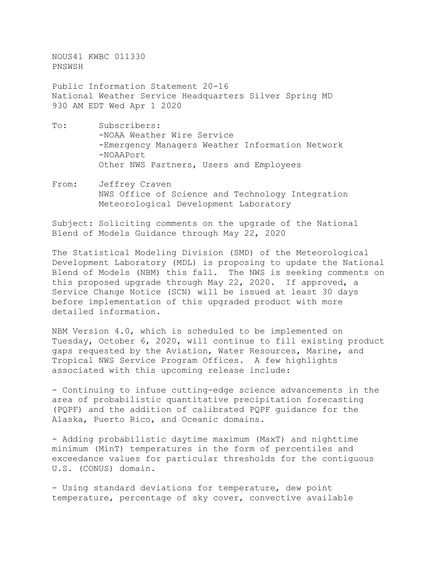NOUS41 KWBC 011330 PNSWSH

Public Information Statement 20-16 National Weather Service Headquarters Silver Spring MD 930 AM EDT Wed Apr 1 2020

- To: Subscribers: -NOAA Weather Wire Service -Emergency Managers Weather Information Network -NOAAPort Other NWS Partners, Users and Employees
- From: Jeffrey Craven NWS Office of Science and Technology Integration Meteorological Development Laboratory

Subject: Soliciting comments on the upgrade of the National Blend of Models Guidance through May 22, 2020

The Statistical Modeling Division (SMD) of the Meteorological Development Laboratory (MDL) is proposing to update the National Blend of Models (NBM) this fall. The NWS is seeking comments on this proposed upgrade through May 22, 2020. If approved, a Service Change Notice (SCN) will be issued at least 30 days before implementation of this upgraded product with more detailed information.

NBM Version 4.0, which is scheduled to be implemented on Tuesday, October 6, 2020, will continue to fill existing product gaps requested by the Aviation, Water Resources, Marine, and Tropical NWS Service Program Offices. A few highlights associated with this upcoming release include:

- Continuing to infuse cutting-edge science advancements in the area of probabilistic quantitative precipitation forecasting (PQPF) and the addition of calibrated PQPF guidance for the Alaska, Puerto Rico, and Oceanic domains.

- Adding probabilistic daytime maximum (MaxT) and nighttime minimum (MinT) temperatures in the form of percentiles and exceedance values for particular thresholds for the contiguous U.S. (CONUS) domain.

- Using standard deviations for temperature, dew point temperature, percentage of sky cover, convective available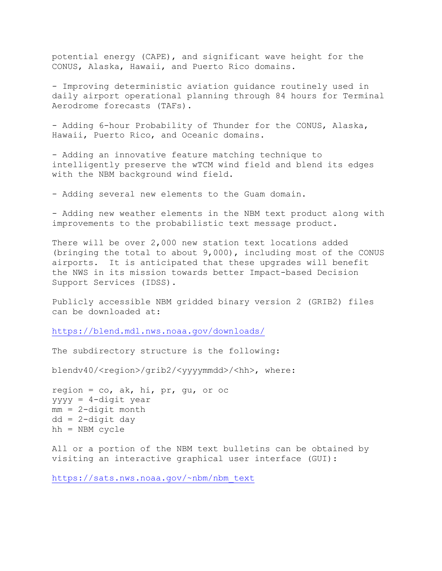potential energy (CAPE), and significant wave height for the CONUS, Alaska, Hawaii, and Puerto Rico domains.

- Improving deterministic aviation guidance routinely used in daily airport operational planning through 84 hours for Terminal Aerodrome forecasts (TAFs).

- Adding 6-hour Probability of Thunder for the CONUS, Alaska, Hawaii, Puerto Rico, and Oceanic domains.

- Adding an innovative feature matching technique to intelligently preserve the wTCM wind field and blend its edges with the NBM background wind field.

- Adding several new elements to the Guam domain.

- Adding new weather elements in the NBM text product along with improvements to the probabilistic text message product.

There will be over 2,000 new station text locations added (bringing the total to about 9,000), including most of the CONUS airports. It is anticipated that these upgrades will benefit the NWS in its mission towards better Impact-based Decision Support Services (IDSS).

Publicly accessible NBM gridded binary version 2 (GRIB2) files can be downloaded at:

<https://blend.mdl.nws.noaa.gov/downloads/>

The subdirectory structure is the following:

blendv40/<region>/grib2/<yyyymmdd>/<hh>, where:

region =  $co$ , ak, hi, pr, gu, or oc yyyy = 4-digit year  $mm = 2$ -digit month dd = 2-digit day hh = NBM cycle

All or a portion of the NBM text bulletins can be obtained by visiting an interactive graphical user interface (GUI):

[https://sats.nws.noaa.gov/~nbm/nbm\\_text](https://sats.nws.noaa.gov/%7Enbm/nbm_text)